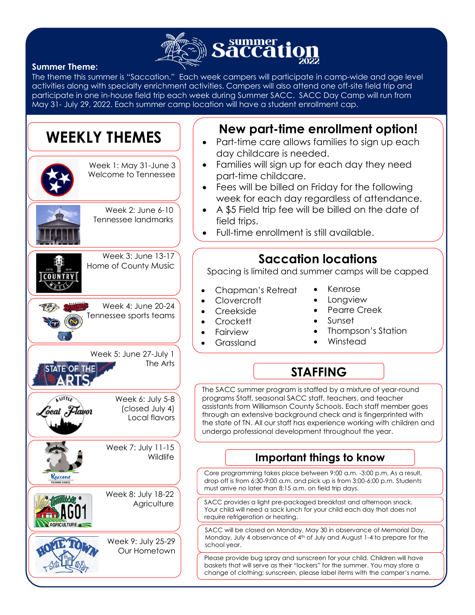

#### **Summer Theme:**

The theme this summer is "Saccation." Each week campers will participate in camp-wide and age level activities along with specialty enrichment activities. Campers will also attend one off-site field trip and participate in one in-house field trip each week during Summer SACC. SACC Day Camp will run from May 31- July 29, 2022. Each summer camp location will have a student enrollment cap.